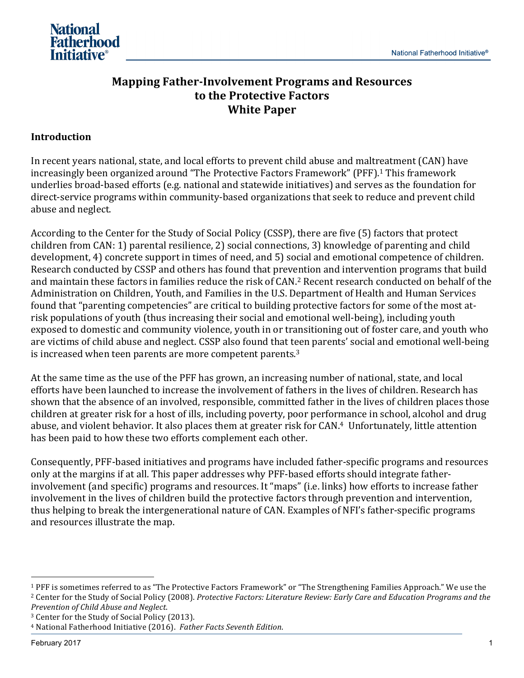

# **Mapping Father-Involvement Programs and Resources to the Protective Factors White Paper**

## **Introduction**

In recent years national, state, and local efforts to prevent child abuse and maltreatment (CAN) have increasingly been organized around "The Protective Factors Framework" (PFF).<sup>1</sup> This framework underlies broad-based efforts (e.g. national and statewide initiatives) and serves as the foundation for direct-service programs within community-based organizations that seek to reduce and prevent child abuse and neglect.

According to the Center for the Study of Social Policy (CSSP), there are five (5) factors that protect children from CAN: 1) parental resilience, 2) social connections, 3) knowledge of parenting and child development, 4) concrete support in times of need, and 5) social and emotional competence of children. Research conducted by CSSP and others has found that prevention and intervention programs that build and maintain these factors in families reduce the risk of CAN.<sup>2</sup> Recent research conducted on behalf of the Administration on Children, Youth, and Families in the U.S. Department of Health and Human Services found that "parenting competencies" are critical to building protective factors for some of the most atrisk populations of youth (thus increasing their social and emotional well-being), including youth exposed to domestic and community violence, youth in or transitioning out of foster care, and youth who are victims of child abuse and neglect. CSSP also found that teen parents' social and emotional well-being is increased when teen parents are more competent parents. $3$ 

At the same time as the use of the PFF has grown, an increasing number of national, state, and local efforts have been launched to increase the involvement of fathers in the lives of children. Research has shown that the absence of an involved, responsible, committed father in the lives of children places those children at greater risk for a host of ills, including poverty, poor performance in school, alcohol and drug abuse, and violent behavior. It also places them at greater risk for CAN.<sup>4</sup> Unfortunately, little attention has been paid to how these two efforts complement each other.

Consequently, PFF-based initiatives and programs have included father-specific programs and resources only at the margins if at all. This paper addresses why PFF-based efforts should integrate fatherinvolvement (and specific) programs and resources. It "maps" (i.e. links) how efforts to increase father involvement in the lives of children build the protective factors through prevention and intervention, thus helping to break the intergenerational nature of CAN. Examples of NFI's father-specific programs and resources illustrate the map.

*Prevention of Child Abuse and Neglect*. 

<sup>&</sup>lt;sup>1</sup> PFF is sometimes referred to as "The Protective Factors Framework" or "The Strengthening Families Approach." We use the <sup>2</sup> Center for the Study of Social Policy (2008). *Protective Factors: Literature Review: Early Care and Education Programs and the* 

<sup>&</sup>lt;sup>3</sup> Center for the Study of Social Policy (2013).

<sup>&</sup>lt;sup>4</sup> National Fatherhood Initiative (2016). Father Facts Seventh Edition.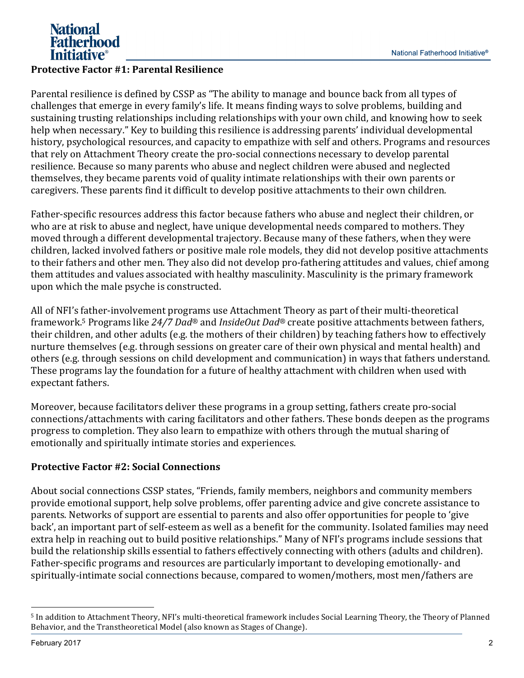

## **Protective Factor #1: Parental Resilience**

Parental resilience is defined by CSSP as "The ability to manage and bounce back from all types of challenges that emerge in every family's life. It means finding ways to solve problems, building and sustaining trusting relationships including relationships with your own child, and knowing how to seek help when necessary." Key to building this resilience is addressing parents' individual developmental history, psychological resources, and capacity to empathize with self and others. Programs and resources that rely on Attachment Theory create the pro-social connections necessary to develop parental resilience. Because so many parents who abuse and neglect children were abused and neglected themselves, they became parents void of quality intimate relationships with their own parents or caregivers. These parents find it difficult to develop positive attachments to their own children.

Father-specific resources address this factor because fathers who abuse and neglect their children, or who are at risk to abuse and neglect, have unique developmental needs compared to mothers. They moved through a different developmental trajectory. Because many of these fathers, when they were children, lacked involved fathers or positive male role models, they did not develop positive attachments to their fathers and other men. They also did not develop pro-fathering attitudes and values, chief among them attitudes and values associated with healthy masculinity. Masculinity is the primary framework upon which the male psyche is constructed.

All of NFI's father-involvement programs use Attachment Theory as part of their multi-theoretical framework.<sup>5</sup> Programs like 24/7 Dad<sup>®</sup> and *InsideOut Dad*<sup>®</sup> create positive attachments between fathers, their children, and other adults (e.g. the mothers of their children) by teaching fathers how to effectively nurture themselves (e.g. through sessions on greater care of their own physical and mental health) and others (e.g. through sessions on child development and communication) in ways that fathers understand. These programs lay the foundation for a future of healthy attachment with children when used with expectant fathers.

Moreover, because facilitators deliver these programs in a group setting, fathers create pro-social connections/attachments with caring facilitators and other fathers. These bonds deepen as the programs progress to completion. They also learn to empathize with others through the mutual sharing of emotionally and spiritually intimate stories and experiences.

## **Protective Factor #2: Social Connections**

About social connections CSSP states, "Friends, family members, neighbors and community members provide emotional support, help solve problems, offer parenting advice and give concrete assistance to parents. Networks of support are essential to parents and also offer opportunities for people to 'give back', an important part of self-esteem as well as a benefit for the community. Isolated families may need extra help in reaching out to build positive relationships." Many of NFI's programs include sessions that build the relationship skills essential to fathers effectively connecting with others (adults and children). Father-specific programs and resources are particularly important to developing emotionally- and spiritually-intimate social connections because, compared to women/mothers, most men/fathers are

 <sup>5</sup> In addition to Attachment Theory, NFI's multi-theoretical framework includes Social Learning Theory, the Theory of Planned Behavior, and the Transtheoretical Model (also known as Stages of Change).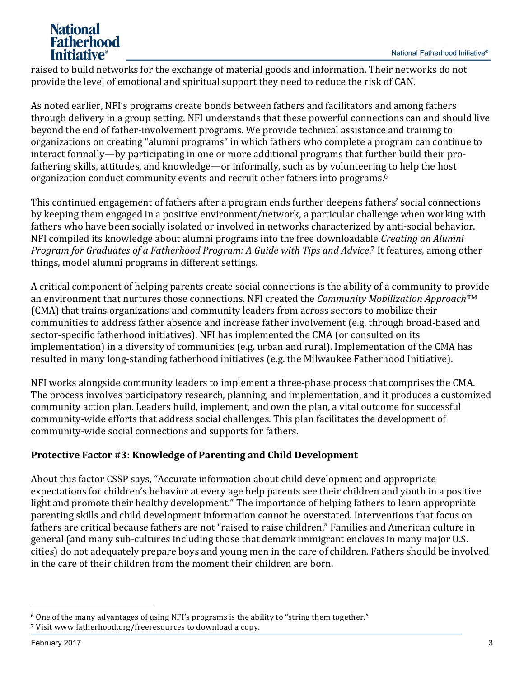# **National Fatherhood Initiative**<sup>®</sup>

raised to build networks for the exchange of material goods and information. Their networks do not provide the level of emotional and spiritual support they need to reduce the risk of CAN.

As noted earlier, NFI's programs create bonds between fathers and facilitators and among fathers through delivery in a group setting. NFI understands that these powerful connections can and should live beyond the end of father-involvement programs. We provide technical assistance and training to organizations on creating "alumni programs" in which fathers who complete a program can continue to interact formally—by participating in one or more additional programs that further build their profathering skills, attitudes, and knowledge—or informally, such as by volunteering to help the host organization conduct community events and recruit other fathers into programs.<sup>6</sup>

This continued engagement of fathers after a program ends further deepens fathers' social connections by keeping them engaged in a positive environment/network, a particular challenge when working with fathers who have been socially isolated or involved in networks characterized by anti-social behavior. NFI compiled its knowledge about alumni programs into the free downloadable *Creating an Alumni* Program for Graduates of a Fatherhood Program: A Guide with Tips and Advice.<sup>7</sup> It features, among other things, model alumni programs in different settings.

A critical component of helping parents create social connections is the ability of a community to provide an environment that nurtures those connections. NFI created the *Community Mobilization Approach*<sup>™</sup> (CMA) that trains organizations and community leaders from across sectors to mobilize their communities to address father absence and increase father involvement (e.g. through broad-based and sector-specific fatherhood initiatives). NFI has implemented the CMA (or consulted on its implementation) in a diversity of communities (e.g. urban and rural). Implementation of the CMA has resulted in many long-standing fatherhood initiatives (e.g. the Milwaukee Fatherhood Initiative).

NFI works alongside community leaders to implement a three-phase process that comprises the CMA. The process involves participatory research, planning, and implementation, and it produces a customized community action plan. Leaders build, implement, and own the plan, a vital outcome for successful community-wide efforts that address social challenges. This plan facilitates the development of community-wide social connections and supports for fathers.

## **Protective Factor #3: Knowledge of Parenting and Child Development**

About this factor CSSP says, "Accurate information about child development and appropriate expectations for children's behavior at every age help parents see their children and youth in a positive light and promote their healthy development." The importance of helping fathers to learn appropriate parenting skills and child development information cannot be overstated. Interventions that focus on fathers are critical because fathers are not "raised to raise children." Families and American culture in general (and many sub-cultures including those that demark immigrant enclaves in many major U.S. cities) do not adequately prepare boys and young men in the care of children. Fathers should be involved in the care of their children from the moment their children are born.

 $6$  One of the many advantages of using NFI's programs is the ability to "string them together." <sup>7</sup> Visit www.fatherhood.org/freeresources to download a copy.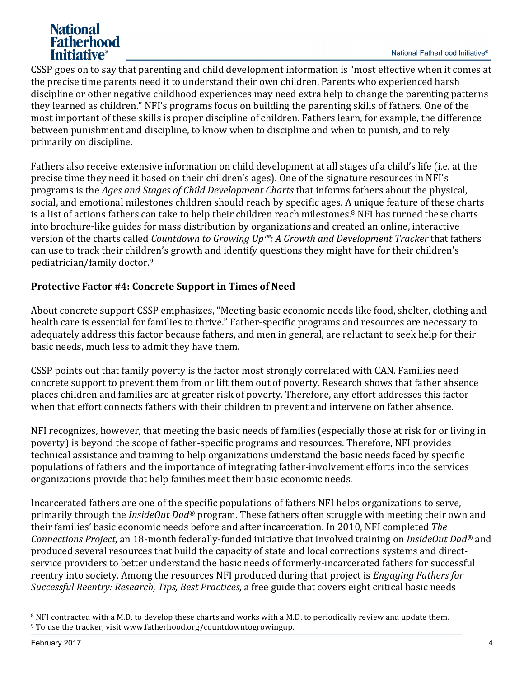# National **Fatherhood** *Initiative*<sup>®</sup>

CSSP goes on to say that parenting and child development information is "most effective when it comes at the precise time parents need it to understand their own children. Parents who experienced harsh discipline or other negative childhood experiences may need extra help to change the parenting patterns they learned as children." NFI's programs focus on building the parenting skills of fathers. One of the most important of these skills is proper discipline of children. Fathers learn, for example, the difference between punishment and discipline, to know when to discipline and when to punish, and to rely primarily on discipline.

Fathers also receive extensive information on child development at all stages of a child's life (i.e. at the precise time they need it based on their children's ages). One of the signature resources in NFI's programs is the *Ages and Stages of Child Development Charts* that informs fathers about the physical, social, and emotional milestones children should reach by specific ages. A unique feature of these charts is a list of actions fathers can take to help their children reach milestones.<sup>8</sup> NFI has turned these charts into brochure-like guides for mass distribution by organizations and created an online, interactive version of the charts called *Countdown to Growing Up™: A Growth and Development Tracker* that fathers can use to track their children's growth and identify questions they might have for their children's pediatrician/family doctor.9 

## **Protective Factor #4: Concrete Support in Times of Need**

About concrete support CSSP emphasizes, "Meeting basic economic needs like food, shelter, clothing and health care is essential for families to thrive." Father-specific programs and resources are necessary to adequately address this factor because fathers, and men in general, are reluctant to seek help for their basic needs, much less to admit they have them.

CSSP points out that family poverty is the factor most strongly correlated with CAN. Families need concrete support to prevent them from or lift them out of poverty. Research shows that father absence places children and families are at greater risk of poverty. Therefore, any effort addresses this factor when that effort connects fathers with their children to prevent and intervene on father absence.

NFI recognizes, however, that meeting the basic needs of families (especially those at risk for or living in poverty) is beyond the scope of father-specific programs and resources. Therefore, NFI provides technical assistance and training to help organizations understand the basic needs faced by specific populations of fathers and the importance of integrating father-involvement efforts into the services organizations provide that help families meet their basic economic needs.

Incarcerated fathers are one of the specific populations of fathers NFI helps organizations to serve, primarily through the *InsideOut Dad<sup>®</sup>* program. These fathers often struggle with meeting their own and their families' basic economic needs before and after incarceration. In 2010, NFI completed *The Connections Project*, an 18-month federally-funded initiative that involved training on *InsideOut Dad<sup>®</sup>* and produced several resources that build the capacity of state and local corrections systems and directservice providers to better understand the basic needs of formerly-incarcerated fathers for successful reentry into society. Among the resources NFI produced during that project is *Engaging Fathers for Successful Reentry: Research, Tips, Best Practices, a free guide that covers eight critical basic needs* 

<sup>&</sup>lt;sup>8</sup> NFI contracted with a M.D. to develop these charts and works with a M.D. to periodically review and update them.  $9$  To use the tracker, visit www.fatherhood.org/countdowntogrowingup.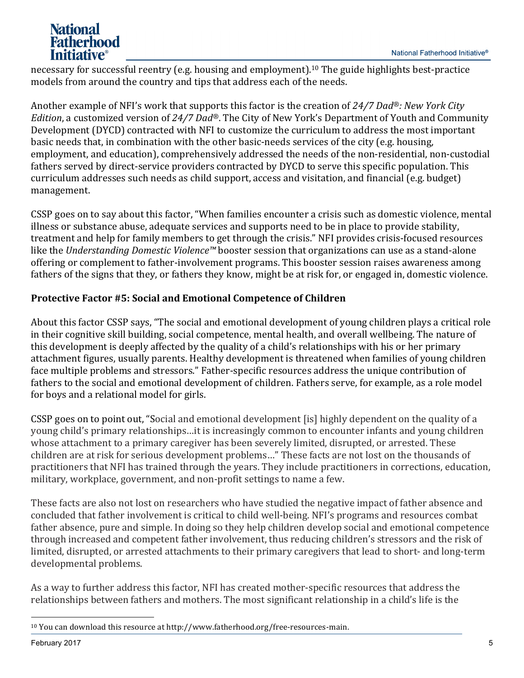# **National** Fatherhood *Initiative*<sup>®</sup>

necessary for successful reentry (e.g. housing and employment).<sup>10</sup> The guide highlights best-practice models from around the country and tips that address each of the needs.

Another example of NFI's work that supports this factor is the creation of 24/7 Dad<sup>®</sup>: New York City *Edition*, a customized version of 24/7 Dad®. The City of New York's Department of Youth and Community Development (DYCD) contracted with NFI to customize the curriculum to address the most important basic needs that, in combination with the other basic-needs services of the city (e.g. housing, employment, and education), comprehensively addressed the needs of the non-residential, non-custodial fathers served by direct-service providers contracted by DYCD to serve this specific population. This curriculum addresses such needs as child support, access and visitation, and financial (e.g. budget) management. 

CSSP goes on to say about this factor, "When families encounter a crisis such as domestic violence, mental illness or substance abuse, adequate services and supports need to be in place to provide stability, treatment and help for family members to get through the crisis." NFI provides crisis-focused resources like the *Understanding Domestic Violence™* booster session that organizations can use as a stand-alone offering or complement to father-involvement programs. This booster session raises awareness among fathers of the signs that they, or fathers they know, might be at risk for, or engaged in, domestic violence.

## **Protective Factor #5: Social and Emotional Competence of Children**

About this factor CSSP says, "The social and emotional development of young children plays a critical role in their cognitive skill building, social competence, mental health, and overall wellbeing. The nature of this development is deeply affected by the quality of a child's relationships with his or her primary attachment figures, usually parents. Healthy development is threatened when families of young children face multiple problems and stressors." Father-specific resources address the unique contribution of fathers to the social and emotional development of children. Fathers serve, for example, as a role model for boys and a relational model for girls.

CSSP goes on to point out, "Social and emotional development [is] highly dependent on the quality of a young child's primary relationships...it is increasingly common to encounter infants and young children whose attachment to a primary caregiver has been severely limited, disrupted, or arrested. These children are at risk for serious development problems..." These facts are not lost on the thousands of practitioners that NFI has trained through the vears. They include practitioners in corrections, education, military, workplace, government, and non-profit settings to name a few.

These facts are also not lost on researchers who have studied the negative impact of father absence and concluded that father involvement is critical to child well-being. NFI's programs and resources combat father absence, pure and simple. In doing so they help children develop social and emotional competence through increased and competent father involvement, thus reducing children's stressors and the risk of limited, disrupted, or arrested attachments to their primary caregivers that lead to short- and long-term developmental problems.

As a way to further address this factor, NFI has created mother-specific resources that address the relationships between fathers and mothers. The most significant relationship in a child's life is the

 $10$  You can download this resource at http://www.fatherhood.org/free-resources-main.